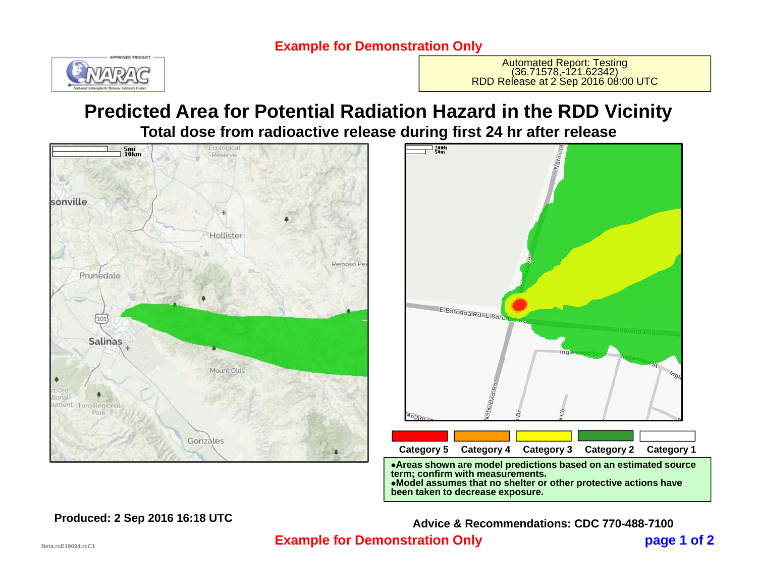### **Example for Demonstration Only**



Automated Report: Testing<br>(36.71578,-121.62342)<br>RDD Release at 2 Sep 2016 08:00 UTC

## **Predicted Area for Potential Radiation Hazard in the RDD Vicinity Total dose from radioactive release during first 24 hr after release**





**been taken to decrease exposure.**

 **page 1 of 2 Example for Demonstration Only Produced: 2 Sep 2016 16:18 UTC Advice & Recommendations: CDC 770-488-7100**